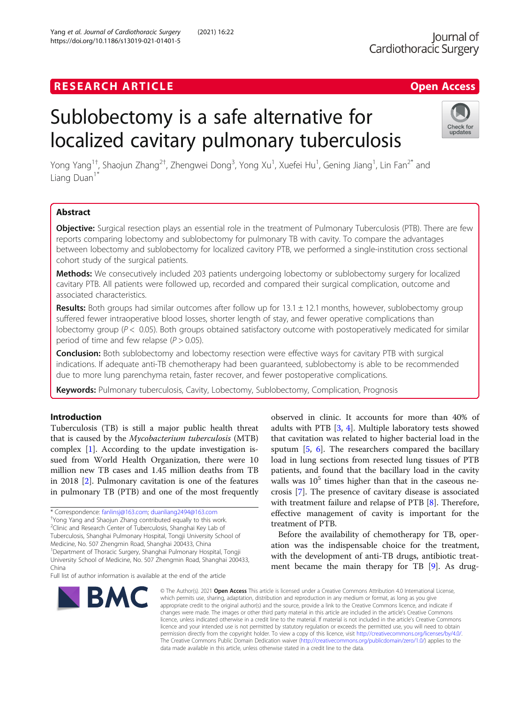## **RESEARCH ARTICLE Example 2018 12:00 Deep Access**

# Sublobectomy is a safe alternative for localized cavitary pulmonary tuberculosis

Yong Yang<sup>1†</sup>, Shaojun Zhang<sup>2†</sup>, Zhengwei Dong<sup>3</sup>, Yong Xu<sup>1</sup>, Xuefei Hu<sup>1</sup>, Gening Jiang<sup>1</sup>, Lin Fan<sup>2\*</sup> and Liang Duan $<sup>1</sup>$ </sup>

## Abstract

Objective: Surgical resection plays an essential role in the treatment of Pulmonary Tuberculosis (PTB). There are few reports comparing lobectomy and sublobectomy for pulmonary TB with cavity. To compare the advantages between lobectomy and sublobectomy for localized cavitory PTB, we performed a single-institution cross sectional cohort study of the surgical patients.

Methods: We consecutively included 203 patients undergoing lobectomy or sublobectomy surgery for localized cavitary PTB. All patients were followed up, recorded and compared their surgical complication, outcome and associated characteristics.

**Results:** Both groups had similar outcomes after follow up for  $13.1 \pm 12.1$  months, however, sublobectomy group suffered fewer intraoperative blood losses, shorter length of stay, and fewer operative complications than lobectomy group ( $P < 0.05$ ). Both groups obtained satisfactory outcome with postoperatively medicated for similar period of time and few relapse ( $P > 0.05$ ).

**Conclusion:** Both sublobectomy and lobectomy resection were effective ways for cavitary PTB with surgical indications. If adequate anti-TB chemotherapy had been guaranteed, sublobectomy is able to be recommended due to more lung parenchyma retain, faster recover, and fewer postoperative complications.

Keywords: Pulmonary tuberculosis, Cavity, Lobectomy, Sublobectomy, Complication, Prognosis

## Introduction

Tuberculosis (TB) is still a major public health threat that is caused by the Mycobacterium tuberculosis (MTB) complex [\[1](#page-6-0)]. According to the update investigation issued from World Health Organization, there were 10 million new TB cases and 1.45 million deaths from TB in 2018 [\[2](#page-6-0)]. Pulmonary cavitation is one of the features in pulmonary TB (PTB) and one of the most frequently

\* Correspondence: [fanlinsj@163.com](mailto:fanlinsj@163.com); [duanliang2494@163.com](mailto:duanliang2494@163.com) †

Yong Yang and Shaojun Zhang contributed equally to this work. <sup>2</sup>Clinic and Research Center of Tuberculosis, Shanghai Key Lab of

Tuberculosis, Shanghai Pulmonary Hospital, Tongji University School of

Medicine, No. 507 Zhengmin Road, Shanghai 200433, China

1 Department of Thoracic Surgery, Shanghai Pulmonary Hospital, Tongji University School of Medicine, No. 507 Zhengmin Road, Shanghai 200433, China

Full list of author information is available at the end of the article

observed in clinic. It accounts for more than 40% of adults with PTB [[3](#page-6-0), [4\]](#page-6-0). Multiple laboratory tests showed that cavitation was related to higher bacterial load in the sputum [[5](#page-6-0), [6](#page-6-0)]. The researchers compared the bacillary load in lung sections from resected lung tissues of PTB patients, and found that the bacillary load in the cavity walls was  $10^5$  times higher than that in the caseous necrosis [[7\]](#page-6-0). The presence of cavitary disease is associated with treatment failure and relapse of PTB [[8\]](#page-6-0). Therefore, effective management of cavity is important for the treatment of PTB.

Before the availability of chemotherapy for TB, operation was the indispensable choice for the treatment, with the development of anti-TB drugs, antibiotic treatment became the main therapy for TB [[9\]](#page-6-0). As drug-

© The Author(s), 2021 **Open Access** This article is licensed under a Creative Commons Attribution 4.0 International License, which permits use, sharing, adaptation, distribution and reproduction in any medium or format, as long as you give appropriate credit to the original author(s) and the source, provide a link to the Creative Commons licence, and indicate if changes were made. The images or other third party material in this article are included in the article's Creative Commons licence, unless indicated otherwise in a credit line to the material. If material is not included in the article's Creative Commons licence and your intended use is not permitted by statutory regulation or exceeds the permitted use, you will need to obtain permission directly from the copyright holder. To view a copy of this licence, visit [http://creativecommons.org/licenses/by/4.0/.](http://creativecommons.org/licenses/by/4.0/) The Creative Commons Public Domain Dedication waiver [\(http://creativecommons.org/publicdomain/zero/1.0/](http://creativecommons.org/publicdomain/zero/1.0/)) applies to the data made available in this article, unless otherwise stated in a credit line to the data.

**BMC** 



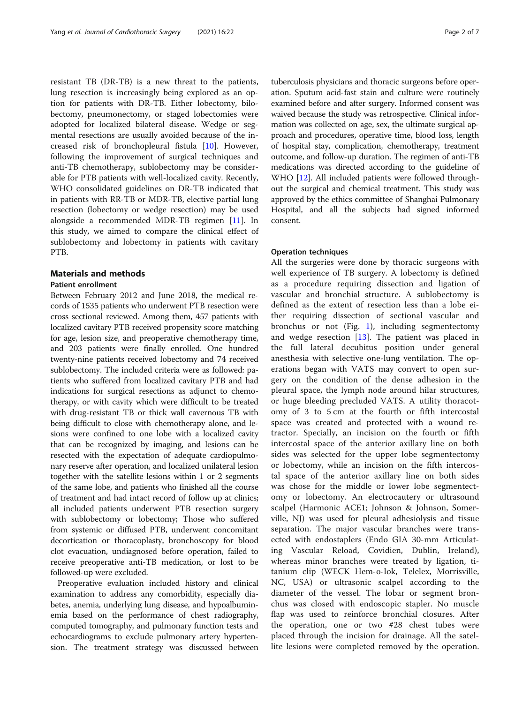resistant TB (DR-TB) is a new threat to the patients, lung resection is increasingly being explored as an option for patients with DR-TB. Either lobectomy, bilobectomy, pneumonectomy, or staged lobectomies were adopted for localized bilateral disease. Wedge or segmental resections are usually avoided because of the increased risk of bronchopleural fistula [[10](#page-6-0)]. However, following the improvement of surgical techniques and anti-TB chemotherapy, sublobectomy may be considerable for PTB patients with well-localized cavity. Recently, WHO consolidated guidelines on DR-TB indicated that in patients with RR-TB or MDR-TB, elective partial lung resection (lobectomy or wedge resection) may be used alongside a recommended MDR-TB regimen [[11\]](#page-6-0). In this study, we aimed to compare the clinical effect of sublobectomy and lobectomy in patients with cavitary PTB.

## Materials and methods

#### Patient enrollment

Between February 2012 and June 2018, the medical records of 1535 patients who underwent PTB resection were cross sectional reviewed. Among them, 457 patients with localized cavitary PTB received propensity score matching for age, lesion size, and preoperative chemotherapy time, and 203 patients were finally enrolled. One hundred twenty-nine patients received lobectomy and 74 received sublobectomy. The included criteria were as followed: patients who suffered from localized cavitary PTB and had indications for surgical resections as adjunct to chemotherapy, or with cavity which were difficult to be treated with drug-resistant TB or thick wall cavernous TB with being difficult to close with chemotherapy alone, and lesions were confined to one lobe with a localized cavity that can be recognized by imaging, and lesions can be resected with the expectation of adequate cardiopulmonary reserve after operation, and localized unilateral lesion together with the satellite lesions within 1 or 2 segments of the same lobe, and patients who finished all the course of treatment and had intact record of follow up at clinics; all included patients underwent PTB resection surgery with sublobectomy or lobectomy; Those who suffered from systemic or diffused PTB, underwent concomitant decortication or thoracoplasty, bronchoscopy for blood clot evacuation, undiagnosed before operation, failed to receive preoperative anti-TB medication, or lost to be followed-up were excluded.

Preoperative evaluation included history and clinical examination to address any comorbidity, especially diabetes, anemia, underlying lung disease, and hypoalbuminemia based on the performance of chest radiography, computed tomography, and pulmonary function tests and echocardiograms to exclude pulmonary artery hypertension. The treatment strategy was discussed between

tuberculosis physicians and thoracic surgeons before operation. Sputum acid-fast stain and culture were routinely examined before and after surgery. Informed consent was waived because the study was retrospective. Clinical information was collected on age, sex, the ultimate surgical approach and procedures, operative time, blood loss, length of hospital stay, complication, chemotherapy, treatment outcome, and follow-up duration. The regimen of anti-TB medications was directed according to the guideline of WHO [\[12\]](#page-6-0). All included patients were followed throughout the surgical and chemical treatment. This study was approved by the ethics committee of Shanghai Pulmonary Hospital, and all the subjects had signed informed consent.

## Operation techniques

All the surgeries were done by thoracic surgeons with well experience of TB surgery. A lobectomy is defined as a procedure requiring dissection and ligation of vascular and bronchial structure. A sublobectomy is defined as the extent of resection less than a lobe either requiring dissection of sectional vascular and bronchus or not (Fig. [1](#page-2-0)), including segmentectomy and wedge resection [\[13](#page-6-0)]. The patient was placed in the full lateral decubitus position under general anesthesia with selective one-lung ventilation. The operations began with VATS may convert to open surgery on the condition of the dense adhesion in the pleural space, the lymph node around hilar structures, or huge bleeding precluded VATS. A utility thoracotomy of 3 to 5 cm at the fourth or fifth intercostal space was created and protected with a wound retractor. Specially, an incision on the fourth or fifth intercostal space of the anterior axillary line on both sides was selected for the upper lobe segmentectomy or lobectomy, while an incision on the fifth intercostal space of the anterior axillary line on both sides was chose for the middle or lower lobe segmentectomy or lobectomy. An electrocautery or ultrasound scalpel (Harmonic ACE1; Johnson & Johnson, Somerville, NJ) was used for pleural adhesiolysis and tissue separation. The major vascular branches were transected with endostaplers (Endo GIA 30-mm Articulating Vascular Reload, Covidien, Dublin, Ireland), whereas minor branches were treated by ligation, titanium clip (WECK Hem-o-lok, Telelex, Morrisville, NC, USA) or ultrasonic scalpel according to the diameter of the vessel. The lobar or segment bronchus was closed with endoscopic stapler. No muscle flap was used to reinforce bronchial closures. After the operation, one or two #28 chest tubes were placed through the incision for drainage. All the satellite lesions were completed removed by the operation.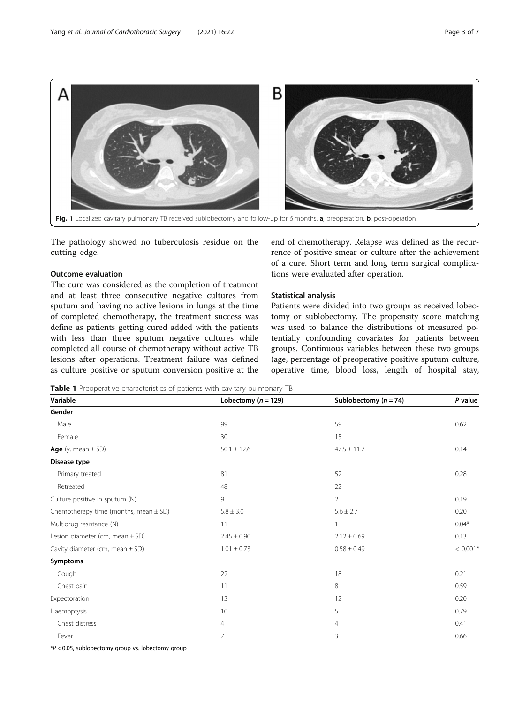<span id="page-2-0"></span>

Fig. 1 Localized cavitary pulmonary TB received sublobectomy and follow-up for 6 months. a, preoperation. b, post-operation

The pathology showed no tuberculosis residue on the cutting edge.

## Outcome evaluation

The cure was considered as the completion of treatment and at least three consecutive negative cultures from sputum and having no active lesions in lungs at the time of completed chemotherapy, the treatment success was define as patients getting cured added with the patients with less than three sputum negative cultures while completed all course of chemotherapy without active TB lesions after operations. Treatment failure was defined as culture positive or sputum conversion positive at the end of chemotherapy. Relapse was defined as the recurrence of positive smear or culture after the achievement of a cure. Short term and long term surgical complications were evaluated after operation.

## Statistical analysis

Patients were divided into two groups as received lobectomy or sublobectomy. The propensity score matching was used to balance the distributions of measured potentially confounding covariates for patients between groups. Continuous variables between these two groups (age, percentage of preoperative positive sputum culture, operative time, blood loss, length of hospital stay,

Table 1 Preoperative characteristics of patients with cavitary pulmonary TB

| Variable                                  | Lobectomy ( $n = 129$ ) | Sublobectomy $(n = 74)$ | P value    |
|-------------------------------------------|-------------------------|-------------------------|------------|
| Gender                                    |                         |                         |            |
| Male                                      | 99                      | 59                      | 0.62       |
| Female                                    | 30                      | 15                      |            |
| Age $(y, \text{mean} \pm \text{SD})$      | $50.1 \pm 12.6$         | $47.5 \pm 11.7$         | 0.14       |
| Disease type                              |                         |                         |            |
| Primary treated                           | 81                      | 52                      | 0.28       |
| Retreated                                 | 48                      | 22                      |            |
| Culture positive in sputum (N)            | 9                       | $\overline{2}$          | 0.19       |
| Chemotherapy time (months, mean $\pm$ SD) | $5.8 \pm 3.0$           | $5.6 \pm 2.7$           | 0.20       |
| Multidrug resistance (N)                  | 11                      |                         | $0.04*$    |
| Lesion diameter (cm, mean $\pm$ SD)       | $2.45 \pm 0.90$         | $2.12 \pm 0.69$         | 0.13       |
| Cavity diameter (cm, mean $\pm$ SD)       | $1.01 \pm 0.73$         | $0.58 \pm 0.49$         | $< 0.001*$ |
| Symptoms                                  |                         |                         |            |
| Cough                                     | 22                      | 18                      | 0.21       |
| Chest pain                                | 11                      | 8                       | 0.59       |
| Expectoration                             | 13                      | 12                      | 0.20       |
| Haemoptysis                               | 10                      | 5                       | 0.79       |
| Chest distress                            | 4                       | $\overline{4}$          | 0.41       |
| Fever                                     | $\overline{7}$          | 3                       | 0.66       |

 $*P < 0.05$ , sublobectomy group vs. lobectomy group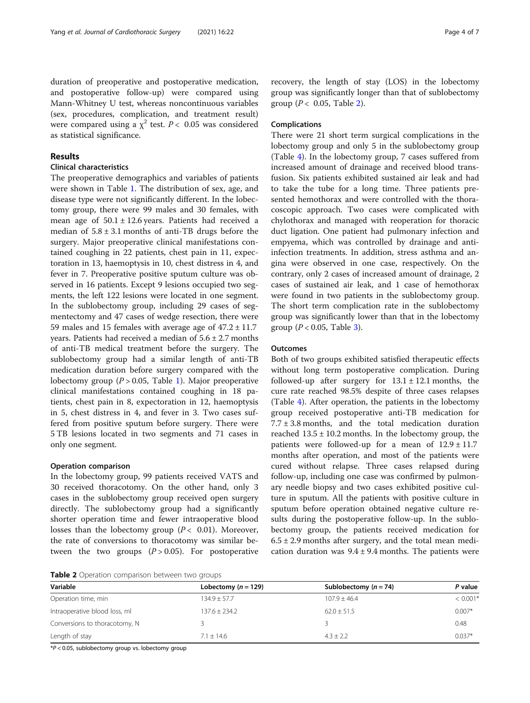## Results

## Clinical characteristics

The preoperative demographics and variables of patients were shown in Table [1](#page-2-0). The distribution of sex, age, and disease type were not significantly different. In the lobectomy group, there were 99 males and 30 females, with mean age of  $50.1 \pm 12.6$  years. Patients had received a median of  $5.8 \pm 3.1$  months of anti-TB drugs before the surgery. Major preoperative clinical manifestations contained coughing in 22 patients, chest pain in 11, expectoration in 13, haemoptysis in 10, chest distress in 4, and fever in 7. Preoperative positive sputum culture was observed in 16 patients. Except 9 lesions occupied two segments, the left 122 lesions were located in one segment. In the sublobectomy group, including 29 cases of segmentectomy and 47 cases of wedge resection, there were 59 males and 15 females with average age of  $47.2 \pm 11.7$ years. Patients had received a median of 5.6 ± 2.7 months of anti-TB medical treatment before the surgery. The sublobectomy group had a similar length of anti-TB medication duration before surgery compared with the lobectomy group ( $P > 0.05$ , Table [1\)](#page-2-0). Major preoperative clinical manifestations contained coughing in 18 patients, chest pain in 8, expectoration in 12, haemoptysis in 5, chest distress in 4, and fever in 3. Two cases suffered from positive sputum before surgery. There were 5 TB lesions located in two segments and 71 cases in only one segment.

## Operation comparison

In the lobectomy group, 99 patients received VATS and 30 received thoracotomy. On the other hand, only 3 cases in the sublobectomy group received open surgery directly. The sublobectomy group had a significantly shorter operation time and fewer intraoperative blood losses than the lobectomy group ( $P < 0.01$ ). Moreover, the rate of conversions to thoracotomy was similar between the two groups  $(P > 0.05)$ . For postoperative

Table 2 Operation comparison between two groups

recovery, the length of stay (LOS) in the lobectomy group was significantly longer than that of sublobectomy group ( $P < 0.05$ , Table 2).

## Complications

There were 21 short term surgical complications in the lobectomy group and only 5 in the sublobectomy group (Table [4](#page-4-0)). In the lobectomy group, 7 cases suffered from increased amount of drainage and received blood transfusion. Six patients exhibited sustained air leak and had to take the tube for a long time. Three patients presented hemothorax and were controlled with the thoracoscopic approach. Two cases were complicated with chylothorax and managed with reoperation for thoracic duct ligation. One patient had pulmonary infection and empyema, which was controlled by drainage and antiinfection treatments. In addition, stress asthma and angina were observed in one case, respectively. On the contrary, only 2 cases of increased amount of drainage, 2 cases of sustained air leak, and 1 case of hemothorax were found in two patients in the sublobectomy group. The short term complication rate in the sublobectomy group was significantly lower than that in the lobectomy group ( $P < 0.05$ , Table [3](#page-4-0)).

## **Outcomes**

Both of two groups exhibited satisfied therapeutic effects without long term postoperative complication. During followed-up after surgery for  $13.1 \pm 12.1$  months, the cure rate reached 98.5% despite of three cases relapses (Table [4](#page-4-0)). After operation, the patients in the lobectomy group received postoperative anti-TB medication for  $7.7 \pm 3.8$  months, and the total medication duration reached  $13.5 \pm 10.2$  months. In the lobectomy group, the patients were followed-up for a mean of  $12.9 \pm 11.7$ months after operation, and most of the patients were cured without relapse. Three cases relapsed during follow-up, including one case was confirmed by pulmonary needle biopsy and two cases exhibited positive culture in sputum. All the patients with positive culture in sputum before operation obtained negative culture results during the postoperative follow-up. In the sublobectomy group, the patients received medication for  $6.5 \pm 2.9$  months after surgery, and the total mean medication duration was  $9.4 \pm 9.4$  months. The patients were

| Variable                      | Lobectomy $(n = 129)$ | Sublobectomy $(n = 74)$ | P value    |  |
|-------------------------------|-----------------------|-------------------------|------------|--|
| Operation time, min           | $134.9 + 57.7$        | $107.9 + 46.4$          | $< 0.001*$ |  |
| Intraoperative blood loss, ml | $137.6 + 234.2$       | $62.0 \pm 51.5$         | $0.007*$   |  |
| Conversions to thoracotomy, N |                       |                         | 0.48       |  |
| Length of stay                | $7.1 \pm 14.6$        | $4.3 \pm 2.2$           | $0.037*$   |  |

\*P < 0.05, sublobectomy group vs. lobectomy group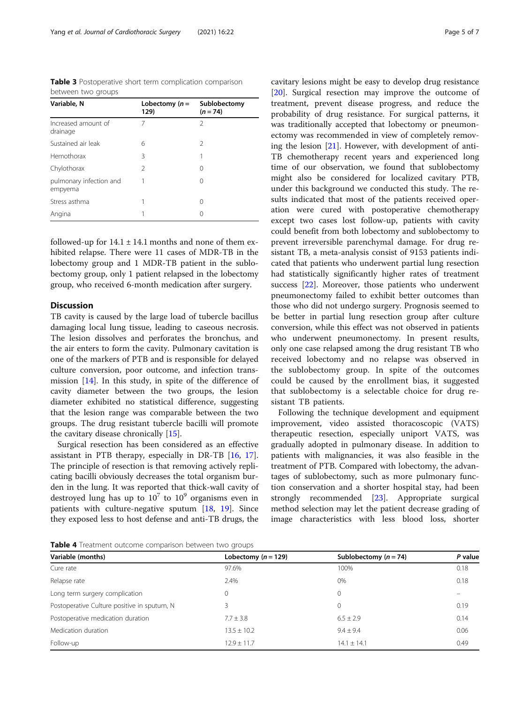<span id="page-4-0"></span>Table 3 Postoperative short term complication comparison between two groups

| Variable, N                        | Lobectomy $(n =$<br>129) | Sublobectomy<br>$(n = 74)$ |
|------------------------------------|--------------------------|----------------------------|
| Increased amount of<br>drainage    | 7                        | 2                          |
| Sustained air leak                 | 6                        | $\mathcal{P}$              |
| Hemothorax                         | 3                        |                            |
| Chylothorax                        | $\mathcal{P}$            | 0                          |
| pulmonary infection and<br>empyema |                          | 0                          |
| Stress asthma                      |                          | 0                          |
| Angina                             |                          | 0                          |

followed-up for  $14.1 \pm 14.1$  months and none of them exhibited relapse. There were 11 cases of MDR-TB in the lobectomy group and 1 MDR-TB patient in the sublobectomy group, only 1 patient relapsed in the lobectomy group, who received 6-month medication after surgery.

## **Discussion**

TB cavity is caused by the large load of tubercle bacillus damaging local lung tissue, leading to caseous necrosis. The lesion dissolves and perforates the bronchus, and the air enters to form the cavity. Pulmonary cavitation is one of the markers of PTB and is responsible for delayed culture conversion, poor outcome, and infection transmission [\[14](#page-6-0)]. In this study, in spite of the difference of cavity diameter between the two groups, the lesion diameter exhibited no statistical difference, suggesting that the lesion range was comparable between the two groups. The drug resistant tubercle bacilli will promote the cavitary disease chronically [\[15](#page-6-0)].

Surgical resection has been considered as an effective assistant in PTB therapy, especially in DR-TB [\[16,](#page-6-0) [17](#page-6-0)]. The principle of resection is that removing actively replicating bacilli obviously decreases the total organism burden in the lung. It was reported that thick-wall cavity of destroyed lung has up to  $10^7$  to  $10^9$  organisms even in patients with culture-negative sputum [\[18,](#page-6-0) [19\]](#page-6-0). Since they exposed less to host defense and anti-TB drugs, the cavitary lesions might be easy to develop drug resistance [[20\]](#page-6-0). Surgical resection may improve the outcome of treatment, prevent disease progress, and reduce the probability of drug resistance. For surgical patterns, it was traditionally accepted that lobectomy or pneumonectomy was recommended in view of completely removing the lesion [[21](#page-6-0)]. However, with development of anti-TB chemotherapy recent years and experienced long time of our observation, we found that sublobectomy might also be considered for localized cavitary PTB, under this background we conducted this study. The results indicated that most of the patients received oper-

ation were cured with postoperative chemotherapy except two cases lost follow-up, patients with cavity could benefit from both lobectomy and sublobectomy to prevent irreversible parenchymal damage. For drug resistant TB, a meta-analysis consist of 9153 patients indicated that patients who underwent partial lung resection had statistically significantly higher rates of treatment success [\[22](#page-6-0)]. Moreover, those patients who underwent pneumonectomy failed to exhibit better outcomes than those who did not undergo surgery. Prognosis seemed to be better in partial lung resection group after culture conversion, while this effect was not observed in patients who underwent pneumonectomy. In present results, only one case relapsed among the drug resistant TB who received lobectomy and no relapse was observed in the sublobectomy group. In spite of the outcomes could be caused by the enrollment bias, it suggested that sublobectomy is a selectable choice for drug resistant TB patients.

Following the technique development and equipment improvement, video assisted thoracoscopic (VATS) therapeutic resection, especially uniport VATS, was gradually adopted in pulmonary disease. In addition to patients with malignancies, it was also feasible in the treatment of PTB. Compared with lobectomy, the advantages of sublobectomy, such as more pulmonary function conservation and a shorter hospital stay, had been strongly recommended [[23\]](#page-6-0). Appropriate surgical method selection may let the patient decrease grading of image characteristics with less blood loss, shorter

Table 4 Treatment outcome comparison between two groups

| Variable (months)                           | Lobectomy ( $n = 129$ ) | Sublobectomy $(n = 74)$ | P value |
|---------------------------------------------|-------------------------|-------------------------|---------|
| Cure rate                                   | 97.6%                   | 100%                    | 0.18    |
| Relapse rate                                | 2.4%                    | $0\%$                   | 0.18    |
| Long term surgery complication              |                         | 0                       |         |
| Postoperative Culture positive in sputum, N | 3                       | $\Omega$                | 0.19    |
| Postoperative medication duration           | $7.7 \pm 3.8$           | $6.5 \pm 2.9$           | 0.14    |
| Medication duration                         | $13.5 \pm 10.2$         | $9.4 \pm 9.4$           | 0.06    |
| Follow-up                                   | $12.9 + 11.7$           | $14.1 + 14.1$           | 0.49    |
|                                             |                         |                         |         |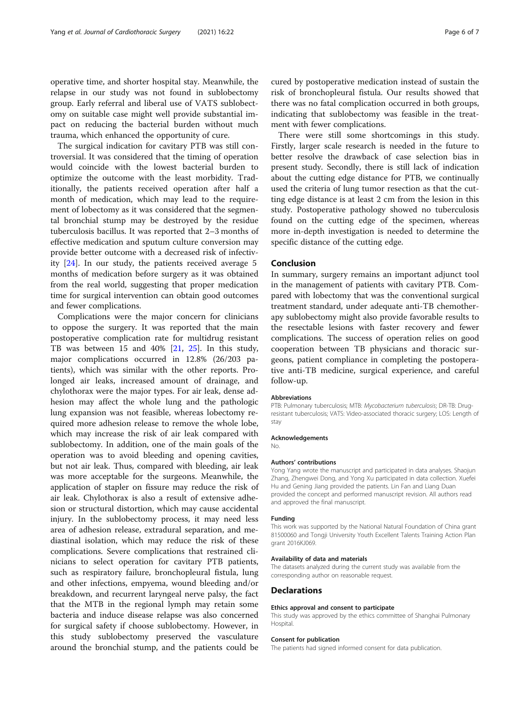operative time, and shorter hospital stay. Meanwhile, the relapse in our study was not found in sublobectomy group. Early referral and liberal use of VATS sublobectomy on suitable case might well provide substantial impact on reducing the bacterial burden without much trauma, which enhanced the opportunity of cure.

The surgical indication for cavitary PTB was still controversial. It was considered that the timing of operation would coincide with the lowest bacterial burden to optimize the outcome with the least morbidity. Traditionally, the patients received operation after half a month of medication, which may lead to the requirement of lobectomy as it was considered that the segmental bronchial stump may be destroyed by the residue tuberculosis bacillus. It was reported that 2–3 months of effective medication and sputum culture conversion may provide better outcome with a decreased risk of infectivity [[24\]](#page-6-0). In our study, the patients received average 5 months of medication before surgery as it was obtained from the real world, suggesting that proper medication time for surgical intervention can obtain good outcomes and fewer complications.

Complications were the major concern for clinicians to oppose the surgery. It was reported that the main postoperative complication rate for multidrug resistant TB was between 15 and 40%  $[21, 25]$  $[21, 25]$  $[21, 25]$  $[21, 25]$ . In this study, major complications occurred in 12.8% (26/203 patients), which was similar with the other reports. Prolonged air leaks, increased amount of drainage, and chylothorax were the major types. For air leak, dense adhesion may affect the whole lung and the pathologic lung expansion was not feasible, whereas lobectomy required more adhesion release to remove the whole lobe, which may increase the risk of air leak compared with sublobectomy. In addition, one of the main goals of the operation was to avoid bleeding and opening cavities, but not air leak. Thus, compared with bleeding, air leak was more acceptable for the surgeons. Meanwhile, the application of stapler on fissure may reduce the risk of air leak. Chylothorax is also a result of extensive adhesion or structural distortion, which may cause accidental injury. In the sublobectomy process, it may need less area of adhesion release, extradural separation, and mediastinal isolation, which may reduce the risk of these complications. Severe complications that restrained clinicians to select operation for cavitary PTB patients, such as respiratory failure, bronchopleural fistula, lung and other infections, empyema, wound bleeding and/or breakdown, and recurrent laryngeal nerve palsy, the fact that the MTB in the regional lymph may retain some bacteria and induce disease relapse was also concerned for surgical safety if choose sublobectomy. However, in this study sublobectomy preserved the vasculature around the bronchial stump, and the patients could be

cured by postoperative medication instead of sustain the risk of bronchopleural fistula. Our results showed that there was no fatal complication occurred in both groups, indicating that sublobectomy was feasible in the treatment with fewer complications.

There were still some shortcomings in this study. Firstly, larger scale research is needed in the future to better resolve the drawback of case selection bias in present study. Secondly, there is still lack of indication about the cutting edge distance for PTB, we continually used the criteria of lung tumor resection as that the cutting edge distance is at least 2 cm from the lesion in this study. Postoperative pathology showed no tuberculosis found on the cutting edge of the specimen, whereas more in-depth investigation is needed to determine the specific distance of the cutting edge.

#### Conclusion

In summary, surgery remains an important adjunct tool in the management of patients with cavitary PTB. Compared with lobectomy that was the conventional surgical treatment standard, under adequate anti-TB chemotherapy sublobectomy might also provide favorable results to the resectable lesions with faster recovery and fewer complications. The success of operation relies on good cooperation between TB physicians and thoracic surgeons, patient compliance in completing the postoperative anti-TB medicine, surgical experience, and careful follow-up.

#### Abbreviations

PTB: Pulmonary tuberculosis; MTB: Mycobacterium tuberculosis; DR-TB: Drugresistant tuberculosis; VATS: Video-associated thoracic surgery; LOS: Length of stay

#### Acknowledgements

No.

#### Authors' contributions

Yong Yang wrote the manuscript and participated in data analyses. Shaojun Zhang, Zhengwei Dong, and Yong Xu participated in data collection. Xuefei Hu and Gening Jiang provided the patients. Lin Fan and Liang Duan provided the concept and performed manuscript revision. All authors read and approved the final manuscript.

#### Funding

This work was supported by the National Natural Foundation of China grant 81500060 and Tongji University Youth Excellent Talents Training Action Plan grant 2016KJ069.

#### Availability of data and materials

The datasets analyzed during the current study was available from the corresponding author on reasonable request.

#### Declarations

#### Ethics approval and consent to participate

This study was approved by the ethics committee of Shanghai Pulmonary Hospital.

#### Consent for publication

The patients had signed informed consent for data publication.